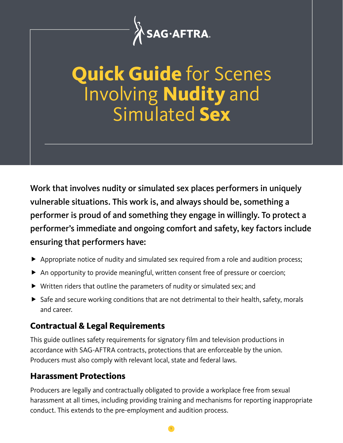

# **Quick Guide** for Scenes Involving **Nudity** and Simulated **Sex**

Work that involves nudity or simulated sex places performers in uniquely vulnerable situations. This work is, and always should be, something a performer is proud of and something they engage in willingly. To protect a performer's immediate and ongoing comfort and safety, key factors include ensuring that performers have:

- Appropriate notice of nudity and simulated sex required from a role and audition process;
- An opportunity to provide meaningful, written consent free of pressure or coercion;
- Written riders that outline the parameters of nudity or simulated sex; and
- $\triangleright$  Safe and secure working conditions that are not detrimental to their health, safety, morals and career.

#### **Contractual & Legal Requirements**

This guide outlines safety requirements for signatory film and television productions in accordance with SAG-AFTRA contracts, protections that are enforceable by the union. Producers must also comply with relevant local, state and federal laws.

### **Harassment Protections**

Producers are legally and contractually obligated to provide a workplace free from sexual harassment at all times, including providing training and mechanisms for reporting inappropriate conduct. This extends to the pre-employment and audition process.

1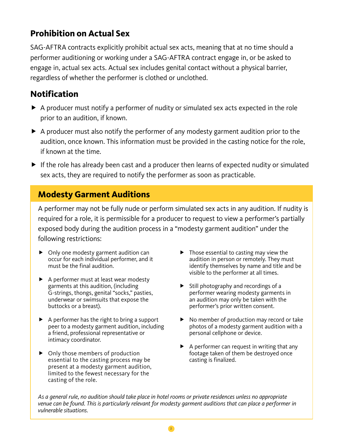#### **Prohibition on Actual Sex**

SAG-AFTRA contracts explicitly prohibit actual sex acts, meaning that at no time should a performer auditioning or working under a SAG-AFTRA contract engage in, or be asked to engage in, actual sex acts. Actual sex includes genital contact without a physical barrier, regardless of whether the performer is clothed or unclothed.

#### **Notification**

- A producer must notify a performer of nudity or simulated sex acts expected in the role prior to an audition, if known.
- A producer must also notify the performer of any modesty garment audition prior to the audition, once known. This information must be provided in the casting notice for the role, if known at the time.
- If the role has already been cast and a producer then learns of expected nudity or simulated sex acts, they are required to notify the performer as soon as practicable.

#### **Modesty Garment Auditions**

A performer may not be fully nude or perform simulated sex acts in any audition. If nudity is required for a role, it is permissible for a producer to request to view a performer's partially exposed body during the audition process in a "modesty garment audition" under the following restrictions:

- ▶ Only one modesty garment audition can occur for each individual performer, and it must be the final audition.
- A performer must at least wear modesty garments at this audition, (including G-strings, thongs, genital "socks," pasties, underwear or swimsuits that expose the buttocks or a breast).
- $\blacktriangleright$  A performer has the right to bring a support peer to a modesty garment audition, including a friend, professional representative or intimacy coordinator.
- ▶ Only those members of production essential to the casting process may be present at a modesty garment audition, limited to the fewest necessary for the casting of the role.
- $\blacktriangleright$  Those essential to casting may view the audition in person or remotely. They must identify themselves by name and title and be visible to the performer at all times.
- $\blacktriangleright$  Still photography and recordings of a performer wearing modesty garments in an audition may only be taken with the performer's prior written consent.
- ▶ No member of production may record or take photos of a modesty garment audition with a personal cellphone or device.
- $\blacktriangleright$  A performer can request in writing that any footage taken of them be destroyed once casting is finalized.

*As a general rule, no audition should take place in hotel rooms or private residences unless no appropriate venue can be found. This is particularly relevant for modesty garment auditions that can place a performer in vulnerable situations.*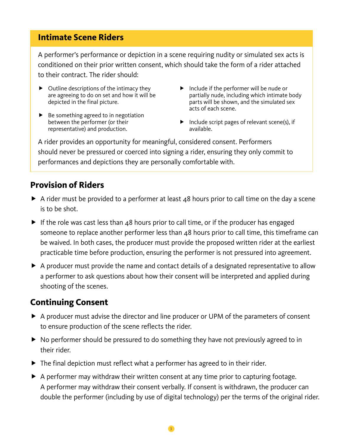#### **Intimate Scene Riders**

A performer's performance or depiction in a scene requiring nudity or simulated sex acts is conditioned on their prior written consent, which should take the form of a rider attached to their contract. The rider should:

- $\triangleright$  Outline descriptions of the intimacy they are agreeing to do on set and how it will be depicted in the final picture.
- $\blacktriangleright$  Be something agreed to in negotiation between the performer (or their representative) and production.
- $\blacktriangleright$  Include if the performer will be nude or partially nude, including which intimate body parts will be shown, and the simulated sex acts of each scene.
- $\blacktriangleright$  Include script pages of relevant scene(s), if available.

A rider provides an opportunity for meaningful, considered consent. Performers should never be pressured or coerced into signing a rider, ensuring they only commit to performances and depictions they are personally comfortable with.

#### **Provision of Riders**

- A rider must be provided to a performer at least 48 hours prior to call time on the day a scene is to be shot.
- If the role was cast less than 48 hours prior to call time, or if the producer has engaged someone to replace another performer less than 48 hours prior to call time, this timeframe can be waived. In both cases, the producer must provide the proposed written rider at the earliest practicable time before production, ensuring the performer is not pressured into agreement.
- A producer must provide the name and contact details of a designated representative to allow a performer to ask questions about how their consent will be interpreted and applied during shooting of the scenes.

#### **Continuing Consent**

- A producer must advise the director and line producer or UPM of the parameters of consent to ensure production of the scene reflects the rider.
- ▶ No performer should be pressured to do something they have not previously agreed to in their rider.
- ▶ The final depiction must reflect what a performer has agreed to in their rider.
- A performer may withdraw their written consent at any time prior to capturing footage. A performer may withdraw their consent verbally. If consent is withdrawn, the producer can double the performer (including by use of digital technology) per the terms of the original rider.

3